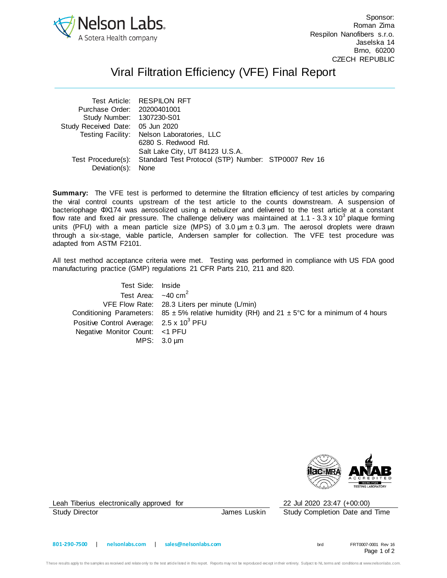

Sponsor: Roman Zima Respilon Nanofibers s.r.o. Jaselska 14 Brno, 60200 CZECH REPUBLIC

## Viral Filtration Efficiency (VFE) Final Report

| Test Article: RESPILON RFT                 |                                                                        |
|--------------------------------------------|------------------------------------------------------------------------|
| Purchase Order: 20200401001                |                                                                        |
| Study Number: 1307230-S01                  |                                                                        |
| Study Received Date: 05 Jun 2020           |                                                                        |
| Testing Facility: Nelson Laboratories, LLC |                                                                        |
| 6280 S. Redwood Rd.                        |                                                                        |
| Salt Lake City, UT 84123 U.S.A.            |                                                                        |
|                                            |                                                                        |
| Deviation(s): None                         |                                                                        |
|                                            | Test Procedure(s): Standard Test Protocol (STP) Number: STP0007 Rev 16 |

**Summary:** The VFE test is performed to determine the filtration efficiency of test articles by comparing the viral control counts upstream of the test article to the counts downstream. A suspension of bacteriophage ΦX174 was aerosolized using a nebulizer and delivered to the test article at a constant flow rate and fixed air pressure. The challenge delivery was maintained at 1.1 - 3.3 x 10<sup>3</sup> plaque forming units (PFU) with a mean particle size (MPS) of 3.0  $\mu$ m  $\pm$  0.3  $\mu$ m. The aerosol droplets were drawn through a six-stage, viable particle, Andersen sampler for collection. The VFE test procedure was adapted from ASTM F2101.

All test method acceptance criteria were met. Testing was performed in compliance with US FDA good manufacturing practice (GMP) regulations 21 CFR Parts 210, 211 and 820.

| Test Side: Inside                                   |                                                                                                               |
|-----------------------------------------------------|---------------------------------------------------------------------------------------------------------------|
| Test Area: $\sim$ 40 cm <sup>2</sup>                |                                                                                                               |
|                                                     | VFE Flow Rate: 28.3 Liters per minute (L/min)                                                                 |
|                                                     | Conditioning Parameters: $85 \pm 5\%$ relative humidity (RH) and $21 \pm 5\degree$ C for a minimum of 4 hours |
| Positive Control Average: 2.5 x 10 <sup>3</sup> PFU |                                                                                                               |
| Negative Monitor Count: <1 PFU                      |                                                                                                               |
|                                                     | MPS: $3.0 \mu m$                                                                                              |



Leah Tiberius electronically approved for 22 Jul 2020 23:47 (+00:00)

Study Director **James Luskin** Study Completion Date and Time